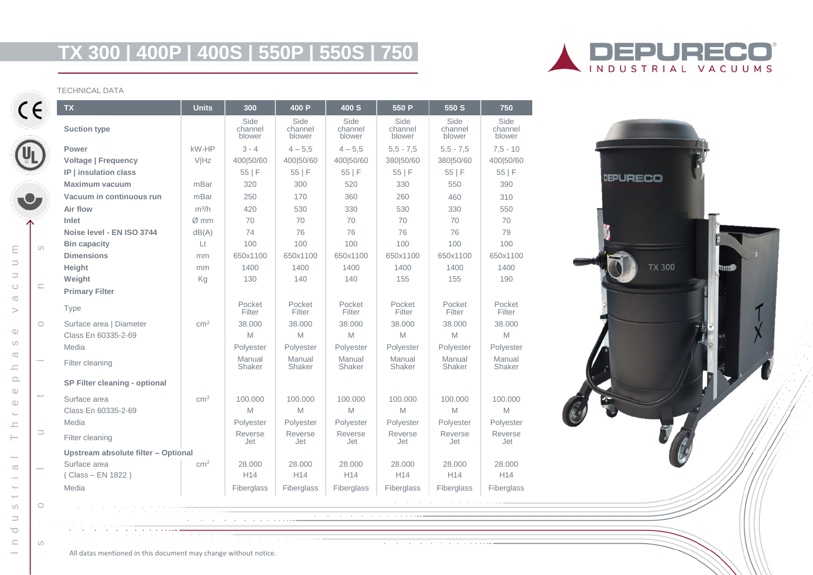# **TX 300 | 400P | 400S | 550P | 550S | 750**



#### TECHNICAL DATA

 $\sigma$  $\overline{a}$  $\sim$  $\leftarrow$  $\omega$  $\Rightarrow$  $\overline{\mathbf{C}}$  $\subseteq$ 

 $\mathsf E$  $\Rightarrow$ 

 $\Rightarrow$  $\circ$  $\sigma$  $\geq$ 

 $\circ$  $\omega$  $\sigma$  $\equiv$  $\Omega$  $\circ$  $\Phi$  $\leftarrow$  $\equiv$  $\vdash$ 

| <b>TX</b>                           | <b>Units</b>    | 300                       | 400 P                     | 400 S                                                                                                           | 550 P                     | 550 S                         | 750                       |
|-------------------------------------|-----------------|---------------------------|---------------------------|-----------------------------------------------------------------------------------------------------------------|---------------------------|-------------------------------|---------------------------|
| <b>Suction type</b>                 |                 | Side<br>channel<br>blower | Side<br>channel<br>blower | Side<br>channel<br>blower                                                                                       | Side<br>channel<br>blower | Side<br>channel<br>blower     | Side<br>channel<br>blower |
| Power                               | kW-HP           | $3 - 4$                   | $4 - 5.5$                 | $4 - 5.5$                                                                                                       | $5,5 - 7,5$               | $5,5 - 7,5$                   | $7,5 - 10$                |
| <b>Voltage   Frequency</b>          | VIHz            | 400 50/60                 | 400 50/60                 | 400 50/60                                                                                                       | 380 50/60                 | 380 50/60                     | 400 50/60                 |
| IP   insulation class               |                 | 55 F                      | 55 F                      | 55 F                                                                                                            | 55 F                      | 55 F                          | 55 F                      |
| Maximum vacuum                      | mBar            | 320                       | 300                       | 520                                                                                                             | 330                       | 550                           | 390                       |
| Vacuum in continuous run            | mBar            | 250                       | 170                       | 360                                                                                                             | 260                       | 460                           | 310                       |
| Air flow                            | $m^3/h$         | 420                       | 530                       | 330                                                                                                             | 530                       | 330                           | 550                       |
| Inlet                               | Ø~mm            | 70                        | 70                        | 70                                                                                                              | 70                        | 70                            | 70                        |
| Noise level - EN ISO 3744           | dB(A)           | 74                        | 76                        | 76                                                                                                              | 76                        | 76                            | 79                        |
| <b>Bin capacity</b>                 | Lt              | 100                       | 100                       | 100                                                                                                             | 100                       | 100                           | 100                       |
| <b>Dimensions</b>                   | mm              | 650x1100                  | 650x1100                  | 650x1100                                                                                                        | 650x1100                  | 650x1100                      | 650x1100                  |
| Height                              | mm              | 1400                      | 1400                      | 1400                                                                                                            | 1400                      | 1400                          | 1400                      |
| Weight                              | Kg              | 130                       | 140                       | 140                                                                                                             | 155                       | 155                           | 190                       |
| <b>Primary Filter</b>               |                 |                           |                           |                                                                                                                 |                           |                               |                           |
| Type                                |                 | Pocket<br>Filter          | Pocket<br>Filter          | Pocket<br>Filter                                                                                                | Pocket<br>Filter          | Pocket<br>Filter              | Pocket<br>Filter          |
| Surface area   Diameter             | cm <sup>2</sup> | 38.000                    | 38.000                    | 38,000                                                                                                          | 38,000                    | 38,000                        | 38,000                    |
| Class En 60335-2-69                 |                 | M                         | M                         | M                                                                                                               | M                         | M                             | M                         |
| Media                               |                 | Polyester                 | Polyester                 | Polyester                                                                                                       | Polyester                 | Polyester                     | Polyester                 |
| Filter cleaning                     |                 | Manual<br>Shaker          | Manual<br>Shaker          | Manual<br>Shaker                                                                                                | Manual<br>Shaker          | Manual<br>Shaker              | Manual<br>Shaker          |
| SP Filter cleaning - optional       |                 |                           |                           |                                                                                                                 |                           |                               |                           |
| Surface area                        | cm <sup>2</sup> | 100.000                   | 100.000                   | 100.000                                                                                                         | 100.000                   | 100,000                       | 100.000                   |
| Class En 60335-2-69                 |                 | M                         | M                         | M                                                                                                               | M                         | M                             | M                         |
| Media                               |                 | Polyester                 | Polyester                 | Polyester                                                                                                       | Polyester                 | Polyester                     | Polyester                 |
| Filter cleaning                     |                 | Reverse<br>Jet            | Reverse<br>Jet            | Reverse<br>Jet                                                                                                  | Reverse<br>Jet            | Reverse<br>Jet                | Reverse<br>Jet            |
| Upstream absolute filter - Optional |                 |                           |                           |                                                                                                                 |                           |                               |                           |
| Surface area                        | cm <sup>2</sup> | 28.000                    | 28.000                    | 28.000                                                                                                          | 28.000                    | 28.000                        | 28,000                    |
| (Class - EN 1822)                   |                 | H14                       | H14                       | H <sub>14</sub>                                                                                                 | H14                       | H14                           | H14                       |
| Media                               |                 | Fiberglass                | Fiberglass                | Fiberglass                                                                                                      | Fiberglass                | <b>Fiberglass</b>             | Fiberglass                |
|                                     |                 |                           |                           |                                                                                                                 |                           | a contract and a contract and |                           |
|                                     |                 |                           |                           | the contract of the contract of the contract of the contract of the contract of the contract of the contract of |                           |                               |                           |
|                                     |                 |                           |                           |                                                                                                                 |                           |                               |                           |
|                                     |                 |                           |                           |                                                                                                                 |                           |                               |                           |



All datas mentioned in this document may change without notice.